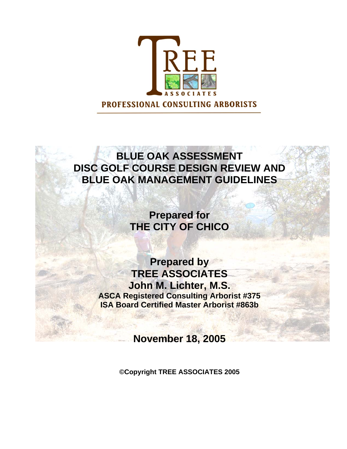

# **BLUE OAK ASSESSMENT DISC GOLF COURSE DESIGN REVIEW AND BLUE OAK MANAGEMENT GUIDELINES**

**Prepared for THE CITY OF CHICO** 

**Prepared by TREE ASSOCIATES John M. Lichter, M.S. ASCA Registered Consulting Arborist #375 ISA Board Certified Master Arborist #863b** 

**November 18, 2005** 

**©Copyright TREE ASSOCIATES 2005**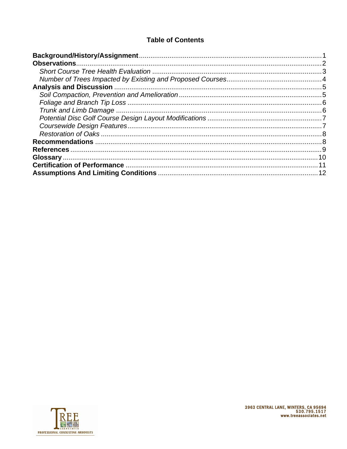# **Table of Contents**

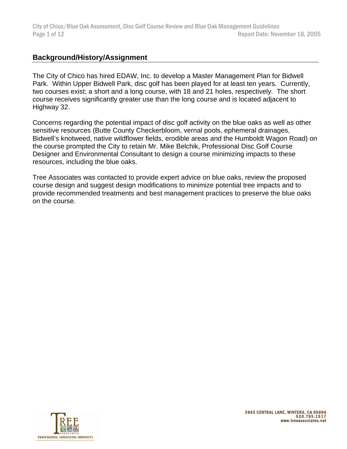City of Chico/Blue Oak Assessment, Disc Golf Course Review and Blue Oak Management Guidelines Page 1 of 12 **Page 1 of 12** Report Date: November 18, 2005

# **Background/History/Assignment**

The City of Chico has hired EDAW, Inc. to develop a Master Management Plan for Bidwell Park. Within Upper Bidwell Park, disc golf has been played for at least ten years. Currently, two courses exist; a short and a long course, with 18 and 21 holes, respectively. The short course receives significantly greater use than the long course and is located adjacent to Highway 32.

Concerns regarding the potential impact of disc golf activity on the blue oaks as well as other sensitive resources (Butte County Checkerbloom, vernal pools, ephemeral drainages, Bidwell's knotweed, native wildflower fields, erodible areas and the Humboldt Wagon Road) on the course prompted the City to retain Mr. Mike Belchik, Professional Disc Golf Course Designer and Environmental Consultant to design a course minimizing impacts to these resources, including the blue oaks.

Tree Associates was contacted to provide expert advice on blue oaks, review the proposed course design and suggest design modifications to minimize potential tree impacts and to provide recommended treatments and best management practices to preserve the blue oaks on the course.

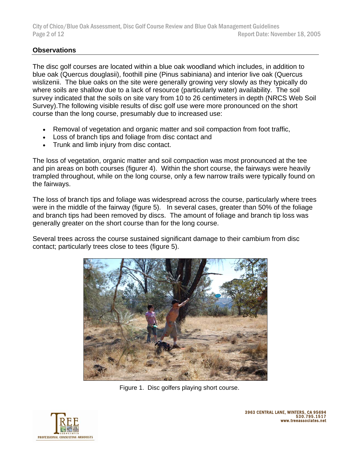# **Observations**

The disc golf courses are located within a blue oak woodland which includes, in addition to blue oak (Quercus douglasii), foothill pine (Pinus sabiniana) and interior live oak (Quercus wislizenii. The blue oaks on the site were generally growing very slowly as they typically do where soils are shallow due to a lack of resource (particularly water) availability. The soil survey indicated that the soils on site vary from 10 to 26 centimeters in depth (NRCS Web Soil Survey).The following visible results of disc golf use were more pronounced on the short course than the long course, presumably due to increased use:

- Removal of vegetation and organic matter and soil compaction from foot traffic,
- Loss of branch tips and foliage from disc contact and
- Trunk and limb injury from disc contact.

The loss of vegetation, organic matter and soil compaction was most pronounced at the tee and pin areas on both courses (figurer 4). Within the short course, the fairways were heavily trampled throughout, while on the long course, only a few narrow trails were typically found on the fairways.

The loss of branch tips and foliage was widespread across the course, particularly where trees were in the middle of the fairway (figure 5). In several cases, greater than 50% of the foliage and branch tips had been removed by discs. The amount of foliage and branch tip loss was generally greater on the short course than for the long course.

Several trees across the course sustained significant damage to their cambium from disc contact; particularly trees close to tees (figure 5).



Figure 1. Disc golfers playing short course.

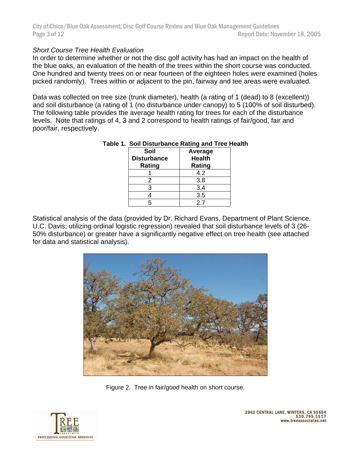City of Chico/Blue Oak Assessment, Disc Golf Course Review and Blue Oak Management Guidelines Page 3 of 12 **Page 3 of 12** Report Date: November 18, 2005

#### *Short Course Tree Health Evaluation*

In order to determine whether or not the disc golf activity has had an impact on the health of the blue oaks, an evaluation of the health of the trees within the short course was conducted. One hundred and twenty trees on or near fourteen of the eighteen holes were examined (holes picked randomly). Trees within or adjacent to the pin, fairway and tee areas were evaluated.

Data was collected on tree size (trunk diameter), health (a rating of 1 (dead) to 8 (excellent)) and soil disturbance (a rating of 1 (no disturbance under canopy) to 5 (100% of soil disturbed). The following table provides the average health rating for trees for each of the disturbance levels. Note that ratings of 4, 3 and 2 correspond to health ratings of fair/good, fair and poor/fair, respectively.

| Soil<br><b>Disturbance</b><br>Rating | <b>Average</b><br><b>Health</b> |
|--------------------------------------|---------------------------------|
|                                      | Rating<br>4.2                   |
| 2                                    | 3.8                             |
|                                      | 3.4                             |
|                                      | 3.5                             |
|                                      | 27                              |

#### **Table 1. Soil Disturbance Rating and Tree Health**

Statistical analysis of the data (provided by Dr. Richard Evans, Department of Plant Science, U.C. Davis; utilizing ordinal logistic regression) revealed that soil disturbance levels of 3 (26- 50% disturbance) or greater have a significantly negative effect on tree health (see attached for data and statistical analysis).



Figure 2. Tree in fair/good health on short course.

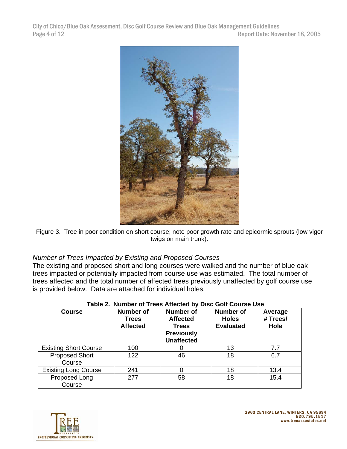City of Chico/Blue Oak Assessment, Disc Golf Course Review and Blue Oak Management Guidelines Page 4 of 12 Report Date: November 18, 2005



Figure 3. Tree in poor condition on short course; note poor growth rate and epicormic sprouts (low vigor twigs on main trunk).

## *Number of Trees Impacted by Existing and Proposed Courses*

The existing and proposed short and long courses were walked and the number of blue oak trees impacted or potentially impacted from course use was estimated. The total number of trees affected and the total number of affected trees previously unaffected by golf course use is provided below. Data are attached for individual holes.

| <b>Course</b>                   | <b>Number of</b><br><b>Trees</b><br><b>Affected</b> | <b>Number of</b><br><b>Affected</b><br><b>Trees</b><br><b>Previously</b><br><b>Unaffected</b> | <b>Number of</b><br><b>Holes</b><br><b>Evaluated</b> | Average<br># Trees/<br>Hole |
|---------------------------------|-----------------------------------------------------|-----------------------------------------------------------------------------------------------|------------------------------------------------------|-----------------------------|
| <b>Existing Short Course</b>    | 100                                                 |                                                                                               | 13                                                   | 7.7                         |
| <b>Proposed Short</b><br>Course | 122                                                 | 46                                                                                            | 18                                                   | 6.7                         |
| <b>Existing Long Course</b>     | 241                                                 |                                                                                               | 18                                                   | 13.4                        |
| Proposed Long<br>Course         | 277                                                 | 58                                                                                            | 18                                                   | 15.4                        |

#### **Table 2. Number of Trees Affected by Disc Golf Course Use**

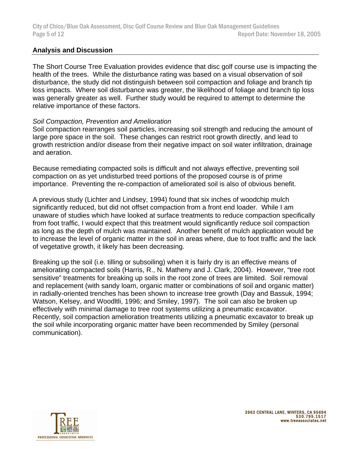## **Analysis and Discussion**

The Short Course Tree Evaluation provides evidence that disc golf course use is impacting the health of the trees. While the disturbance rating was based on a visual observation of soil disturbance, the study did not distinguish between soil compaction and foliage and branch tip loss impacts. Where soil disturbance was greater, the likelihood of foliage and branch tip loss was generally greater as well. Further study would be required to attempt to determine the relative importance of these factors.

#### *Soil Compaction, Prevention and Amelioration*

Soil compaction rearranges soil particles, increasing soil strength and reducing the amount of large pore space in the soil. These changes can restrict root growth directly, and lead to growth restriction and/or disease from their negative impact on soil water infiltration, drainage and aeration.

Because remediating compacted soils is difficult and not always effective, preventing soil compaction on as yet undisturbed treed portions of the proposed course is of prime importance. Preventing the re-compaction of ameliorated soil is also of obvious benefit.

A previous study (Lichter and Lindsey, 1994) found that six inches of woodchip mulch significantly reduced, but did not offset compaction from a front end loader. While I am unaware of studies which have looked at surface treatments to reduce compaction specifically from foot traffic, I would expect that this treatment would significantly reduce soil compaction as long as the depth of mulch was maintained. Another benefit of mulch application would be to increase the level of organic matter in the soil in areas where, due to foot traffic and the lack of vegetative growth, it likely has been decreasing.

Breaking up the soil (i.e. tilling or subsoiling) when it is fairly dry is an effective means of ameliorating compacted soils (Harris, R., N. Matheny and J. Clark, 2004). However, "tree root sensitive" treatments for breaking up soils in the root zone of trees are limited. Soil removal and replacement (with sandy loam, organic matter or combinations of soil and organic matter) in radially-oriented trenches has been shown to increase tree growth (Day and Bassuk, 1994; Watson, Kelsey, and Woodltli, 1996; and Smiley, 1997). The soil can also be broken up effectively with minimal damage to tree root systems utilizing a pneumatic excavator. Recently, soil compaction amelioration treatments utilizing a pneumatic excavator to break up the soil while incorporating organic matter have been recommended by Smiley (personal communication).

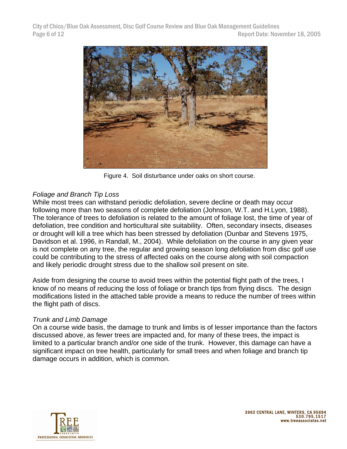

Figure 4. Soil disturbance under oaks on short course.

# *Foliage and Branch Tip Loss*

While most trees can withstand periodic defoliation, severe decline or death may occur following more than two seasons of complete defoliation (Johnson, W.T. and H.Lyon, 1988). The tolerance of trees to defoliation is related to the amount of foliage lost, the time of year of defoliation, tree condition and horticultural site suitability. Often, secondary insects, diseases or drought will kill a tree which has been stressed by defoliation (Dunbar and Stevens 1975, Davidson et al. 1996, in Randall, M., 2004). While defoliation on the course in any given year is not complete on any tree, the regular and growing season long defoliation from disc golf use could be contributing to the stress of affected oaks on the course along with soil compaction and likely periodic drought stress due to the shallow soil present on site.

Aside from designing the course to avoid trees within the potential flight path of the trees, I know of no means of reducing the loss of foliage or branch tips from flying discs. The design modifications listed in the attached table provide a means to reduce the number of trees within the flight path of discs.

## *Trunk and Limb Damage*

On a course wide basis, the damage to trunk and limbs is of lesser importance than the factors discussed above, as fewer trees are impacted and, for many of these trees, the impact is limited to a particular branch and/or one side of the trunk. However, this damage can have a significant impact on tree health, particularly for small trees and when foliage and branch tip damage occurs in addition, which is common.

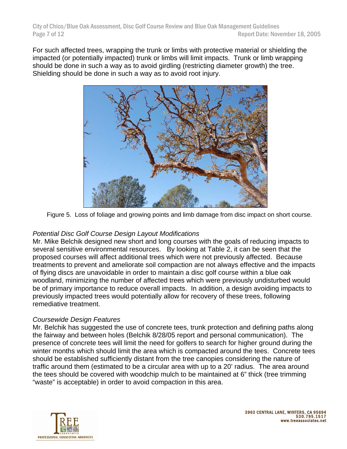For such affected trees, wrapping the trunk or limbs with protective material or shielding the impacted (or potentially impacted) trunk or limbs will limit impacts. Trunk or limb wrapping should be done in such a way as to avoid girdling (restricting diameter growth) the tree. Shielding should be done in such a way as to avoid root injury.



Figure 5. Loss of foliage and growing points and limb damage from disc impact on short course.

# *Potential Disc Golf Course Design Layout Modifications*

Mr. Mike Belchik designed new short and long courses with the goals of reducing impacts to several sensitive environmental resources. By looking at Table 2, it can be seen that the proposed courses will affect additional trees which were not previously affected. Because treatments to prevent and ameliorate soil compaction are not always effective and the impacts of flying discs are unavoidable in order to maintain a disc golf course within a blue oak woodland, minimizing the number of affected trees which were previously undisturbed would be of primary importance to reduce overall impacts. In addition, a design avoiding impacts to previously impacted trees would potentially allow for recovery of these trees, following remediative treatment.

## *Coursewide Design Features*

Mr. Belchik has suggested the use of concrete tees, trunk protection and defining paths along the fairway and between holes (Belchik 8/28/05 report and personal communication). The presence of concrete tees will limit the need for golfers to search for higher ground during the winter months which should limit the area which is compacted around the tees. Concrete tees should be established sufficiently distant from the tree canopies considering the nature of traffic around them (estimated to be a circular area with up to a 20' radius. The area around the tees should be covered with woodchip mulch to be maintained at 6" thick (tree trimming "waste" is acceptable) in order to avoid compaction in this area.

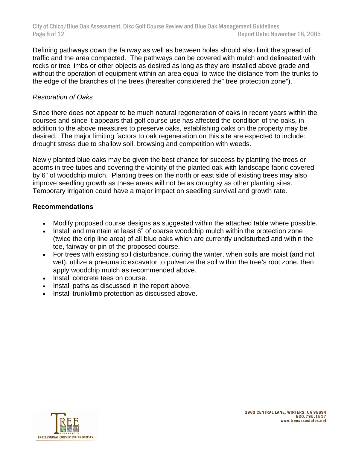Defining pathways down the fairway as well as between holes should also limit the spread of traffic and the area compacted. The pathways can be covered with mulch and delineated with rocks or tree limbs or other objects as desired as long as they are installed above grade and without the operation of equipment within an area equal to twice the distance from the trunks to the edge of the branches of the trees (hereafter considered the" tree protection zone").

## *Restoration of Oaks*

Since there does not appear to be much natural regeneration of oaks in recent years within the courses and since it appears that golf course use has affected the condition of the oaks, in addition to the above measures to preserve oaks, establishing oaks on the property may be desired. The major limiting factors to oak regeneration on this site are expected to include: drought stress due to shallow soil, browsing and competition with weeds.

Newly planted blue oaks may be given the best chance for success by planting the trees or acorns in tree tubes and covering the vicinity of the planted oak with landscape fabric covered by 6" of woodchip mulch. Planting trees on the north or east side of existing trees may also improve seedling growth as these areas will not be as droughty as other planting sites. Temporary irrigation could have a major impact on seedling survival and growth rate.

#### **Recommendations**

- Modify proposed course designs as suggested within the attached table where possible.
- Install and maintain at least 6" of coarse woodchip mulch within the protection zone (twice the drip line area) of all blue oaks which are currently undisturbed and within the tee, fairway or pin of the proposed course.
- For trees with existing soil disturbance, during the winter, when soils are moist (and not wet), utilize a pneumatic excavator to pulverize the soil within the tree's root zone, then apply woodchip mulch as recommended above.
- Install concrete tees on course.
- Install paths as discussed in the report above.
- Install trunk/limb protection as discussed above.

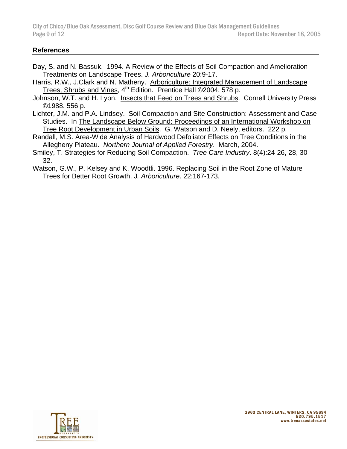City of Chico/Blue Oak Assessment, Disc Golf Course Review and Blue Oak Management Guidelines Page 9 of 12 **Page 9 of 12** Report Date: November 18, 2005

#### **References**

- Day, S. and N. Bassuk. 1994. A Review of the Effects of Soil Compaction and Amelioration Treatments on Landscape Trees. *J. Arboriculture* 20:9-17.
- Harris, R.W., J.Clark and N. Matheny. Arboriculture: Integrated Management of Landscape Trees, Shrubs and Vines, 4<sup>th</sup> Edition. Prentice Hall ©2004. 578 p.
- Johnson, W.T. and H. Lyon. Insects that Feed on Trees and Shrubs. Cornell University Press ©1988. 556 p.
- Lichter, J.M. and P.A. Lindsey. Soil Compaction and Site Construction: Assessment and Case Studies. In The Landscape Below Ground: Proceedings of an International Workshop on Tree Root Development in Urban Soils. G. Watson and D. Neely, editors. 222 p.
- Randall, M.S. Area-Wide Analysis of Hardwood Defoliator Effects on Tree Conditions in the Allegheny Plateau. *Northern Journal of Applied Forestry*. March, 2004.
- Smiley, T. Strategies for Reducing Soil Compaction. *Tree Care Industry*. 8(4):24-26, 28, 30- 32.
- Watson, G.W., P. Kelsey and K. Woodtli. 1996. Replacing Soil in the Root Zone of Mature Trees for Better Root Growth. J*. Arboriculture*. 22:167-173.

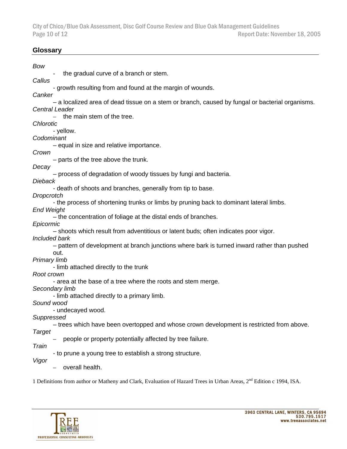City of Chico/Blue Oak Assessment, Disc Golf Course Review and Blue Oak Management Guidelines Report Date: November 18, 2005

#### **Glossary**

| Bow                                                                                              |
|--------------------------------------------------------------------------------------------------|
| the gradual curve of a branch or stem.                                                           |
| Callus                                                                                           |
| - growth resulting from and found at the margin of wounds.                                       |
| Canker                                                                                           |
| - a localized area of dead tissue on a stem or branch, caused by fungal or bacterial organisms.  |
| <b>Central Leader</b>                                                                            |
| the main stem of the tree.                                                                       |
| <b>Chlorotic</b>                                                                                 |
| - yellow.                                                                                        |
| Codominant                                                                                       |
| - equal in size and relative importance.                                                         |
| Crown                                                                                            |
| - parts of the tree above the trunk.                                                             |
| Decay                                                                                            |
| - process of degradation of woody tissues by fungi and bacteria.                                 |
| <b>Dieback</b>                                                                                   |
| - death of shoots and branches, generally from tip to base.                                      |
| Dropcrotch                                                                                       |
| - the process of shortening trunks or limbs by pruning back to dominant lateral limbs.           |
| <b>End Weight</b>                                                                                |
| - the concentration of foliage at the distal ends of branches.                                   |
| Epicormic<br>- shoots which result from adventitious or latent buds; often indicates poor vigor. |
| Included bark                                                                                    |
| - pattern of development at branch junctions where bark is turned inward rather than pushed      |
| out.                                                                                             |
| Primary limb                                                                                     |
| - limb attached directly to the trunk                                                            |
| Root crown                                                                                       |
| - area at the base of a tree where the roots and stem merge.                                     |
| Secondary limb                                                                                   |
| - limb attached directly to a primary limb.                                                      |
| Sound wood                                                                                       |
| - undecayed wood.                                                                                |
| Suppressed                                                                                       |
| - trees which have been overtopped and whose crown development is restricted from above.         |
| Target                                                                                           |
| people or property potentially affected by tree failure.                                         |
| Train                                                                                            |
| - to prune a young tree to establish a strong structure.                                         |
| Vigor                                                                                            |
| overall health.                                                                                  |

1 Definitions from author or Matheny and Clark, Evaluation of Hazard Trees in Urban Areas, 2<sup>nd</sup> Edition c 1994, ISA.

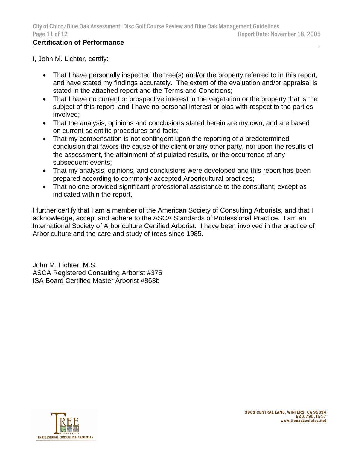# **Certification of Performance**

I, John M. Lichter, certify:

- That I have personally inspected the tree(s) and/or the property referred to in this report, and have stated my findings accurately. The extent of the evaluation and/or appraisal is stated in the attached report and the Terms and Conditions;
- That I have no current or prospective interest in the vegetation or the property that is the subject of this report, and I have no personal interest or bias with respect to the parties involved;
- That the analysis, opinions and conclusions stated herein are my own, and are based on current scientific procedures and facts;
- That my compensation is not contingent upon the reporting of a predetermined conclusion that favors the cause of the client or any other party, nor upon the results of the assessment, the attainment of stipulated results, or the occurrence of any subsequent events;
- That my analysis, opinions, and conclusions were developed and this report has been prepared according to commonly accepted Arboricultural practices;
- That no one provided significant professional assistance to the consultant, except as indicated within the report.

I further certify that I am a member of the American Society of Consulting Arborists, and that I acknowledge, accept and adhere to the ASCA Standards of Professional Practice. I am an International Society of Arboriculture Certified Arborist. I have been involved in the practice of Arboriculture and the care and study of trees since 1985.

John M. Lichter, M.S. ASCA Registered Consulting Arborist #375 ISA Board Certified Master Arborist #863b